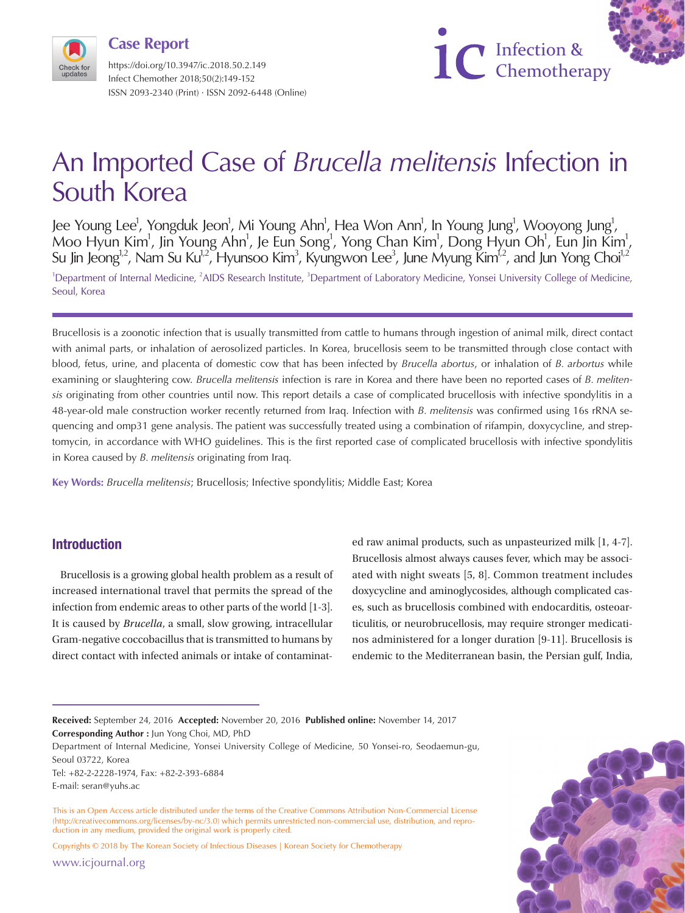https://doi.org/10.3947/ic.2018.50.2.149 Infect Chemother 2018;50(2):149-152 ISSN 2093-2340 (Print) · ISSN 2092-6448 (Online) **Case Report**



# An Imported Case of *Brucella melitensis* Infection in South Korea

Jee Young Lee<sup>1</sup>, Yongduk Jeon<sup>1</sup>, Mi Young Ahn<sup>1</sup>, Hea Won Ann<sup>1</sup>, In Young Jung<sup>1</sup>, Wooyong Jung<sup>1</sup>, Moo Hyun Kim<sup>1</sup>, Jin Young Ahn<sup>1</sup>, Je Eun Song<sup>1</sup>, Yong Chan Kim<sup>1</sup>, Dong Hyun Oh<sup>1</sup>, Eun Jin Kim<sup>1</sup>, Su Jin Jeong<sup>1,2</sup>, Nam Su Ku<sup>1,2</sup>, Hyunsoo Kim<sup>3</sup>, Kyungwon Lee<sup>3</sup>, June Myung Kim<sup>1,2</sup>, and Jun Yong Choi<sup>1,2</sup> <sup>1</sup>Department of Internal Medicine, <sup>2</sup>AIDS Research Institute, <sup>3</sup>Department of Laboratory Medicine, Yonsei University College of Medicine, Seoul, Korea

Brucellosis is a zoonotic infection that is usually transmitted from cattle to humans through ingestion of animal milk, direct contact with animal parts, or inhalation of aerosolized particles. In Korea, brucellosis seem to be transmitted through close contact with blood, fetus, urine, and placenta of domestic cow that has been infected by *Brucella abortus*, or inhalation of *B. arbortus* while examining or slaughtering cow. *Brucella melitensis* infection is rare in Korea and there have been no reported cases of *B. melitensis* originating from other countries until now. This report details a case of complicated brucellosis with infective spondylitis in a 48-year-old male construction worker recently returned from Iraq. Infection with *B. melitensis* was confirmed using 16s rRNA sequencing and omp31 gene analysis. The patient was successfully treated using a combination of rifampin, doxycycline, and streptomycin, in accordance with WHO guidelines. This is the first reported case of complicated brucellosis with infective spondylitis in Korea caused by *B. melitensis* originating from Iraq.

**Key Words:** *Brucella melitensis*; Brucellosis; Infective spondylitis; Middle East; Korea

# **Introduction**

Brucellosis is a growing global health problem as a result of increased international travel that permits the spread of the infection from endemic areas to other parts of the world [1-3]. It is caused by *Brucella*, a small, slow growing, intracellular Gram-negative coccobacillus that is transmitted to humans by direct contact with infected animals or intake of contaminated raw animal products, such as unpasteurized milk [1, 4-7]. Brucellosis almost always causes fever, which may be associated with night sweats [5, 8]. Common treatment includes doxycycline and aminoglycosides, although complicated cases, such as brucellosis combined with endocarditis, osteoarticulitis, or neurobrucellosis, may require stronger medicatinos administered for a longer duration [9-11]. Brucellosis is endemic to the Mediterranean basin, the Persian gulf, India,

Tel: +82-2-2228-1974, Fax: +82-2-393-6884

E-mail: seran@yuhs.ac

Copyrights © 2018 by The Korean Society of Infectious Diseases | Korean Society for Chemotherapy

www.icjournal.org



**Received:** September 24, 2016 **Accepted:** November 20, 2016 **Published online:** November 14, 2017 **Corresponding Author :** Jun Yong Choi, MD, PhD

Department of Internal Medicine, Yonsei University College of Medicine, 50 Yonsei-ro, Seodaemun-gu, Seoul 03722, Korea

This is an Open Access article distributed under the terms of the Creative Commons Attribution Non-Commercial License (http://creativecommons.org/licenses/by-nc/3.0) which permits unrestricted non-commercial use, distribution, and reproduction in any medium, provided the original work is properly cited.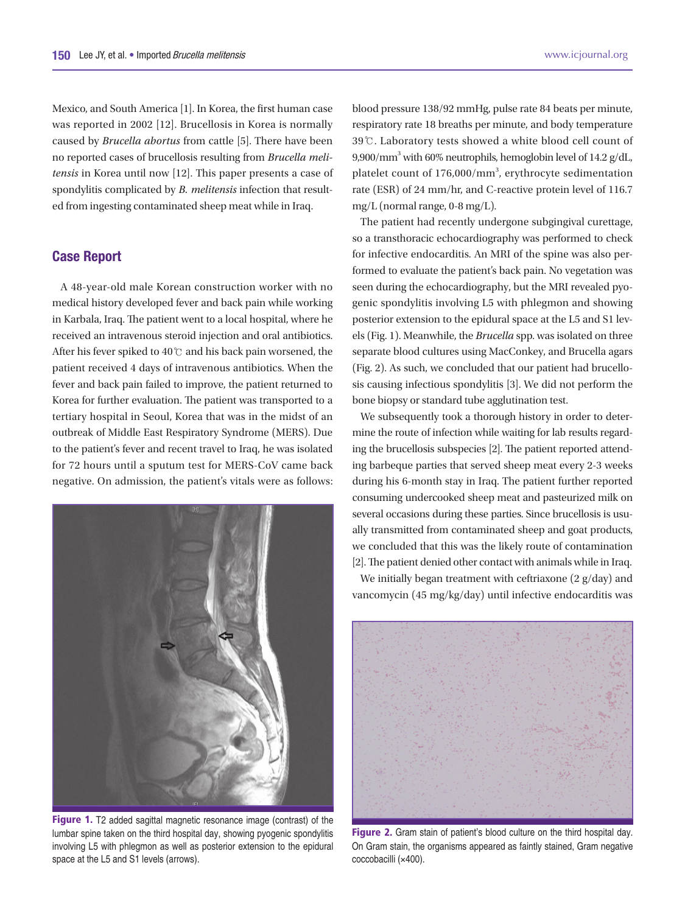Mexico, and South America [1]. In Korea, the first human case was reported in 2002 [12]. Brucellosis in Korea is normally caused by *Brucella abortus* from cattle [5]. There have been no reported cases of brucellosis resulting from *Brucella melitensis* in Korea until now [12]. This paper presents a case of spondylitis complicated by *B. melitensis* infection that resulted from ingesting contaminated sheep meat while in Iraq.

#### **Case Report**

A 48-year-old male Korean construction worker with no medical history developed fever and back pain while working in Karbala, Iraq. The patient went to a local hospital, where he received an intravenous steroid injection and oral antibiotics. After his fever spiked to 40℃ and his back pain worsened, the patient received 4 days of intravenous antibiotics. When the fever and back pain failed to improve, the patient returned to Korea for further evaluation. The patient was transported to a tertiary hospital in Seoul, Korea that was in the midst of an outbreak of Middle East Respiratory Syndrome (MERS). Due to the patient's fever and recent travel to Iraq, he was isolated for 72 hours until a sputum test for MERS-CoV came back negative. On admission, the patient's vitals were as follows:



**Figure 1.** T2 added sagittal magnetic resonance image (contrast) of the lumbar spine taken on the third hospital day, showing pyogenic spondylitis involving L5 with phlegmon as well as posterior extension to the epidural space at the L5 and S1 levels (arrows).

blood pressure 138/92 mmHg, pulse rate 84 beats per minute, respiratory rate 18 breaths per minute, and body temperature 39℃. Laboratory tests showed a white blood cell count of 9,900/mm<sup>3</sup> with 60% neutrophils, hemoglobin level of 14.2 g/dL, platelet count of 176,000/mm<sup>3</sup>, erythrocyte sedimentation rate (ESR) of 24 mm/hr, and C-reactive protein level of 116.7 mg/L (normal range, 0-8 mg/L).

The patient had recently undergone subgingival curettage, so a transthoracic echocardiography was performed to check for infective endocarditis. An MRI of the spine was also performed to evaluate the patient's back pain. No vegetation was seen during the echocardiography, but the MRI revealed pyogenic spondylitis involving L5 with phlegmon and showing posterior extension to the epidural space at the L5 and S1 levels (Fig. 1). Meanwhile, the *Brucella* spp. was isolated on three separate blood cultures using MacConkey, and Brucella agars (Fig. 2). As such, we concluded that our patient had brucellosis causing infectious spondylitis [3]. We did not perform the bone biopsy or standard tube agglutination test.

We subsequently took a thorough history in order to determine the route of infection while waiting for lab results regarding the brucellosis subspecies [2]. The patient reported attending barbeque parties that served sheep meat every 2-3 weeks during his 6-month stay in Iraq. The patient further reported consuming undercooked sheep meat and pasteurized milk on several occasions during these parties. Since brucellosis is usually transmitted from contaminated sheep and goat products, we concluded that this was the likely route of contamination [2]. The patient denied other contact with animals while in Iraq.

We initially began treatment with ceftriaxone (2 g/day) and vancomycin (45 mg/kg/day) until infective endocarditis was



**Figure 2.** Gram stain of patient's blood culture on the third hospital day. On Gram stain, the organisms appeared as faintly stained, Gram negative coccobacilli (×400).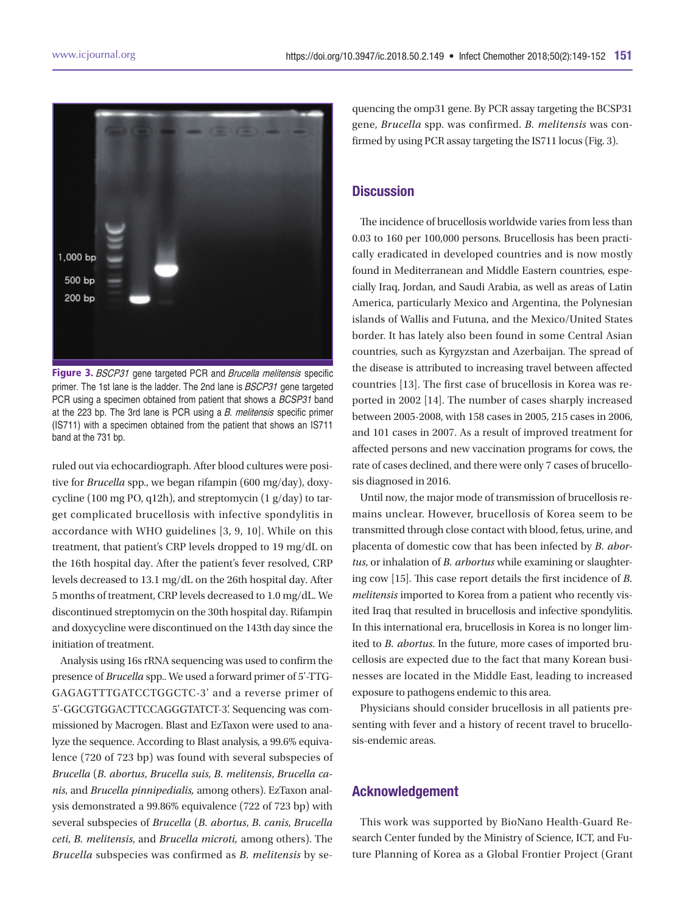![](_page_2_Picture_2.jpeg)

**Figure 3.** *BSCP31* gene targeted PCR and *Brucella melitensis*-specific<br>primar. The 1st lane is the ladder. The 2nd lane is *BSCB31*, sens targeted primer. The 1st lane is the ladder. The 2nd lane is BSCP31 gene targeted PCR using a specimen obtained from patient that shows a BCSP31 band at the 223 bp. The 3rd lane is PCR using a *B. melitensis* specific primer (IS711) with a specimen obtained from the patient that shows an IS711 band at the 731 bp.

ruled out via echocardiograph. After blood cultures were positive for *Brucella* spp., we began rifampin (600 mg/day), doxycycline (100 mg PO, q12h), and streptomycin (1  $g/day$ ) to target complicated brucellosis with infective spondylitis in accordance with WHO guidelines [3, 9, 10]. While on this treatment, that patient's CRP levels dropped to 19 mg/dL on the 16th hospital day. After the patient's fever resolved, CRP levels decreased to 13.1 mg/dL on the 26th hospital day. After 5 months of treatment, CRP levels decreased to 1.0 mg/dL. We discontinued streptomycin on the 30th hospital day. Rifampin and doxycycline were discontinued on the 143th day since the initiation of treatment.

Analysis using 16s rRNA sequencing was used to confirm the presence of *Brucella* spp.. We used a forward primer of 5'-TTG-GAGAGTTTGATCCTGGCTC-3' and a reverse primer of 5'-GGCGTGGACTTCCAGGGTATCT-3'. Sequencing was commissioned by Macrogen. Blast and EzTaxon were used to analyze the sequence. According to Blast analysis, a 99.6% equivalence (720 of 723 bp) was found with several subspecies of *Brucella* (*B. abortus*, *Brucella suis*, *B. melitensis*, *Brucella canis*, and *Brucella pinnipedialis,* among others). EzTaxon analysis demonstrated a 99.86% equivalence (722 of 723 bp) with several subspecies of *Brucella* (*B. abortus*, *B. canis*, *Brucella ceti*, *B. melitensis*, and *Brucella microti,* among others). The *Brucella* subspecies was confirmed as *B. melitensis* by sequencing the omp31 gene. By PCR assay targeting the BCSP31 gene, *Brucella* spp. was confirmed. *B. melitensis* was confirmed by using PCR assay targeting the IS711 locus (Fig. 3).

### **Discussion**

The incidence of brucellosis worldwide varies from less than 0.03 to 160 per 100,000 persons. Brucellosis has been practically eradicated in developed countries and is now mostly found in Mediterranean and Middle Eastern countries, especially Iraq, Jordan, and Saudi Arabia, as well as areas of Latin America, particularly Mexico and Argentina, the Polynesian islands of Wallis and Futuna, and the Mexico/United States border. It has lately also been found in some Central Asian countries, such as Kyrgyzstan and Azerbaijan. The spread of the disease is attributed to increasing travel between affected countries [13]. The first case of brucellosis in Korea was reported in 2002 [14]. The number of cases sharply increased between 2005-2008, with 158 cases in 2005, 215 cases in 2006, and 101 cases in 2007. As a result of improved treatment for affected persons and new vaccination programs for cows, the rate of cases declined, and there were only 7 cases of brucellosis diagnosed in 2016.

Until now, the major mode of transmission of brucellosis remains unclear. However, brucellosis of Korea seem to be transmitted through close contact with blood, fetus, urine, and placenta of domestic cow that has been infected by *B. abortus*, or inhalation of *B. arbortus* while examining or slaughtering cow [15]. This case report details the first incidence of *B. melitensis* imported to Korea from a patient who recently visited Iraq that resulted in brucellosis and infective spondylitis. In this international era, brucellosis in Korea is no longer limited to *B. abortus*. In the future, more cases of imported brucellosis are expected due to the fact that many Korean businesses are located in the Middle East, leading to increased exposure to pathogens endemic to this area.

Physicians should consider brucellosis in all patients presenting with fever and a history of recent travel to brucellosis-endemic areas.

#### **Acknowledgement**

This work was supported by BioNano Health-Guard Research Center funded by the Ministry of Science, ICT, and Future Planning of Korea as a Global Frontier Project (Grant